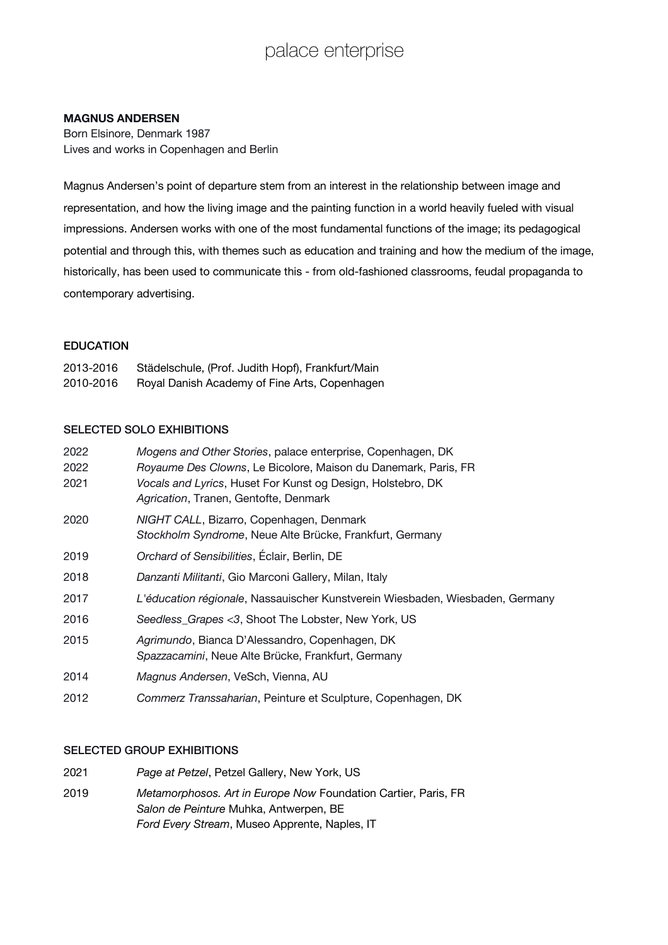## palace enterprise

#### **MAGNUS ANDERSEN**

Born Elsinore, Denmark 1987 Lives and works in Copenhagen and Berlin

Magnus Andersen's point of departure stem from an interest in the relationship between image and representation, and how the living image and the painting function in a world heavily fueled with visual impressions. Andersen works with one of the most fundamental functions of the image; its pedagogical potential and through this, with themes such as education and training and how the medium of the image, historically, has been used to communicate this - from old-fashioned classrooms, feudal propaganda to contemporary advertising.

#### EDUCATION

| 2013-2016 | Städelschule, (Prof. Judith Hopf), Frankfurt/Main |
|-----------|---------------------------------------------------|
| 2010-2016 | Royal Danish Academy of Fine Arts, Copenhagen     |

#### SELECTED SOLO EXHIBITIONS

| 2022 | Mogens and Other Stories, palace enterprise, Copenhagen, DK                                          |
|------|------------------------------------------------------------------------------------------------------|
| 2022 | Royaume Des Clowns, Le Bicolore, Maison du Danemark, Paris, FR                                       |
| 2021 | Vocals and Lyrics, Huset For Kunst og Design, Holstebro, DK<br>Agrication, Tranen, Gentofte, Denmark |
| 2020 | NIGHT CALL, Bizarro, Copenhagen, Denmark                                                             |
|      | Stockholm Syndrome, Neue Alte Brücke, Frankfurt, Germany                                             |
| 2019 | Orchard of Sensibilities, Éclair, Berlin, DE                                                         |
| 2018 | Danzanti Militanti, Gio Marconi Gallery, Milan, Italy                                                |
| 2017 | L'éducation régionale, Nassauischer Kunstverein Wiesbaden, Wiesbaden, Germany                        |
| 2016 | Seedless_Grapes <3, Shoot The Lobster, New York, US                                                  |
| 2015 | Agrimundo, Bianca D'Alessandro, Copenhagen, DK<br>Spazzacamini, Neue Alte Brücke, Frankfurt, Germany |
| 2014 | Magnus Andersen, VeSch, Vienna, AU                                                                   |
| 2012 | Commerz Transsaharian, Peinture et Sculpture, Copenhagen, DK                                         |

#### SELECTED GROUP EXHIBITIONS

- 2021 *Page at Petzel*, Petzel Gallery, New York, US
- 2019 *Metamorphosos. Art in Europe Now* Foundation Cartier, Paris, FR *Salon de Peinture* Muhka, Antwerpen, BE *Ford Every Stream*, Museo Apprente, Naples, IT